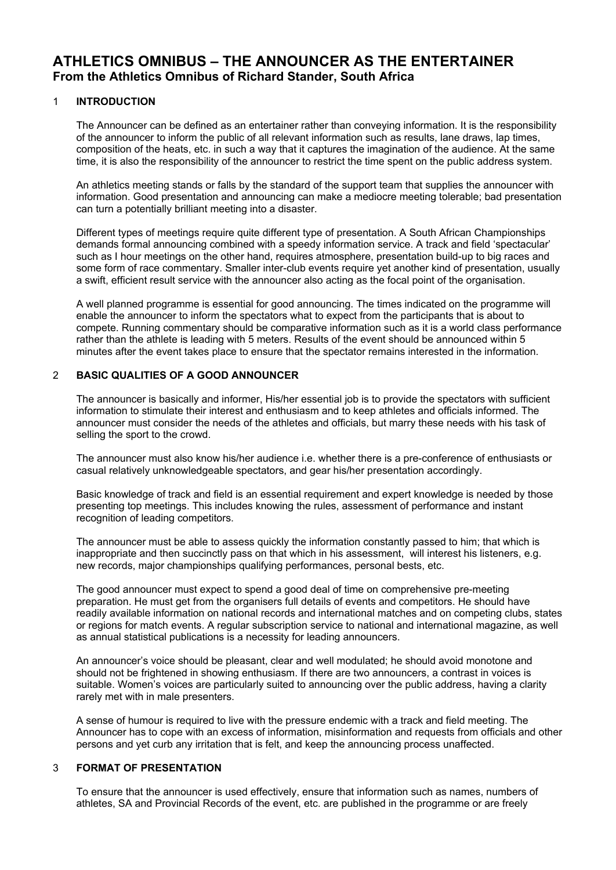# **ATHLETICS OMNIBUS – THE ANNOUNCER AS THE ENTERTAINER From the Athletics Omnibus of Richard Stander, South Africa**

#### 1 **INTRODUCTION**

The Announcer can be defined as an entertainer rather than conveying information. It is the responsibility of the announcer to inform the public of all relevant information such as results, lane draws, lap times, composition of the heats, etc. in such a way that it captures the imagination of the audience. At the same time, it is also the responsibility of the announcer to restrict the time spent on the public address system.

An athletics meeting stands or falls by the standard of the support team that supplies the announcer with information. Good presentation and announcing can make a mediocre meeting tolerable; bad presentation can turn a potentially brilliant meeting into a disaster.

Different types of meetings require quite different type of presentation. A South African Championships demands formal announcing combined with a speedy information service. A track and field 'spectacular' such as I hour meetings on the other hand, requires atmosphere, presentation build-up to big races and some form of race commentary. Smaller inter-club events require yet another kind of presentation, usually a swift, efficient result service with the announcer also acting as the focal point of the organisation.

A well planned programme is essential for good announcing. The times indicated on the programme will enable the announcer to inform the spectators what to expect from the participants that is about to compete. Running commentary should be comparative information such as it is a world class performance rather than the athlete is leading with 5 meters. Results of the event should be announced within 5 minutes after the event takes place to ensure that the spectator remains interested in the information.

#### 2 **BASIC QUALITIES OF A GOOD ANNOUNCER**

The announcer is basically and informer, His/her essential job is to provide the spectators with sufficient information to stimulate their interest and enthusiasm and to keep athletes and officials informed. The announcer must consider the needs of the athletes and officials, but marry these needs with his task of selling the sport to the crowd.

The announcer must also know his/her audience i.e. whether there is a pre-conference of enthusiasts or casual relatively unknowledgeable spectators, and gear his/her presentation accordingly.

Basic knowledge of track and field is an essential requirement and expert knowledge is needed by those presenting top meetings. This includes knowing the rules, assessment of performance and instant recognition of leading competitors.

The announcer must be able to assess quickly the information constantly passed to him; that which is inappropriate and then succinctly pass on that which in his assessment, will interest his listeners, e.g. new records, major championships qualifying performances, personal bests, etc.

The good announcer must expect to spend a good deal of time on comprehensive pre-meeting preparation. He must get from the organisers full details of events and competitors. He should have readily available information on national records and international matches and on competing clubs, states or regions for match events. A regular subscription service to national and international magazine, as well as annual statistical publications is a necessity for leading announcers.

An announcer's voice should be pleasant, clear and well modulated; he should avoid monotone and should not be frightened in showing enthusiasm. If there are two announcers, a contrast in voices is suitable. Women's voices are particularly suited to announcing over the public address, having a clarity rarely met with in male presenters.

A sense of humour is required to live with the pressure endemic with a track and field meeting. The Announcer has to cope with an excess of information, misinformation and requests from officials and other persons and yet curb any irritation that is felt, and keep the announcing process unaffected.

# 3 **FORMAT OF PRESENTATION**

To ensure that the announcer is used effectively, ensure that information such as names, numbers of athletes, SA and Provincial Records of the event, etc. are published in the programme or are freely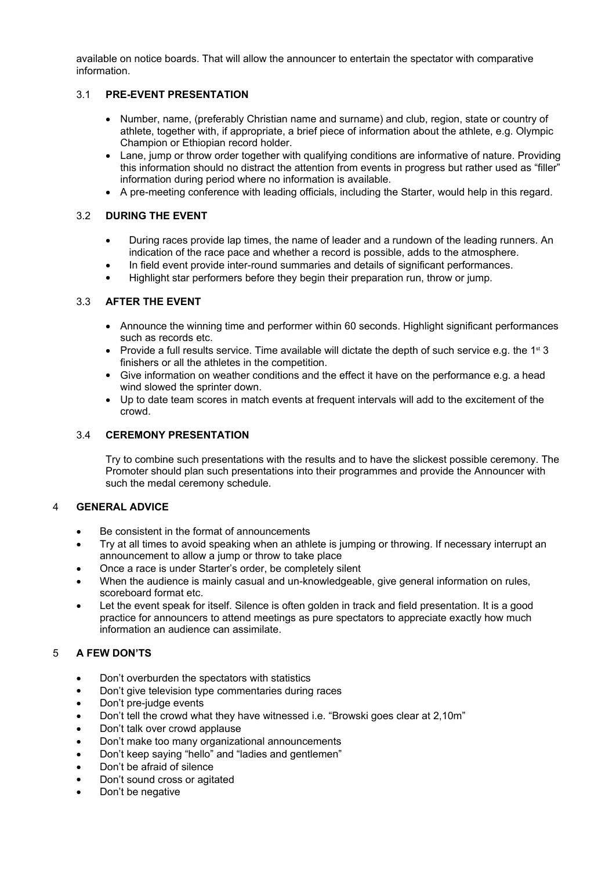available on notice boards. That will allow the announcer to entertain the spectator with comparative information.

#### 3.1 **PRE-EVENT PRESENTATION**

- Number, name, (preferably Christian name and surname) and club, region, state or country of athlete, together with, if appropriate, a brief piece of information about the athlete, e.g. Olympic Champion or Ethiopian record holder.
- Lane, jump or throw order together with qualifying conditions are informative of nature. Providing this information should no distract the attention from events in progress but rather used as "filler" information during period where no information is available.
- A pre-meeting conference with leading officials, including the Starter, would help in this regard.

#### 3.2 **DURING THE EVENT**

- During races provide lap times, the name of leader and a rundown of the leading runners. An indication of the race pace and whether a record is possible, adds to the atmosphere.
- In field event provide inter-round summaries and details of significant performances.
- Highlight star performers before they begin their preparation run, throw or jump.

# 3.3 **AFTER THE EVENT**

- Announce the winning time and performer within 60 seconds. Highlight significant performances such as records etc.
- Provide a full results service. Time available will dictate the depth of such service e.g. the  $1^{\text{st}}$  3 finishers or all the athletes in the competition.
- Give information on weather conditions and the effect it have on the performance e.g. a head wind slowed the sprinter down.
- Up to date team scores in match events at frequent intervals will add to the excitement of the crowd.

#### 3.4 **CEREMONY PRESENTATION**

Try to combine such presentations with the results and to have the slickest possible ceremony. The Promoter should plan such presentations into their programmes and provide the Announcer with such the medal ceremony schedule.

#### 4 **GENERAL ADVICE**

- Be consistent in the format of announcements
- Try at all times to avoid speaking when an athlete is jumping or throwing. If necessary interrupt an announcement to allow a jump or throw to take place
- Once a race is under Starter's order, be completely silent
- When the audience is mainly casual and un-knowledgeable, give general information on rules, scoreboard format etc.
- Let the event speak for itself. Silence is often golden in track and field presentation. It is a good practice for announcers to attend meetings as pure spectators to appreciate exactly how much information an audience can assimilate.

# 5 **A FEW DON'TS**

- Don't overburden the spectators with statistics
- Don't give television type commentaries during races
- Don't pre-judge events
- Don't tell the crowd what they have witnessed i.e. "Browski goes clear at 2,10m"
- Don't talk over crowd applause
- Don't make too many organizational announcements
- Don't keep saying "hello" and "ladies and gentlemen"
- Don't be afraid of silence
- Don't sound cross or agitated
- Don't be negative